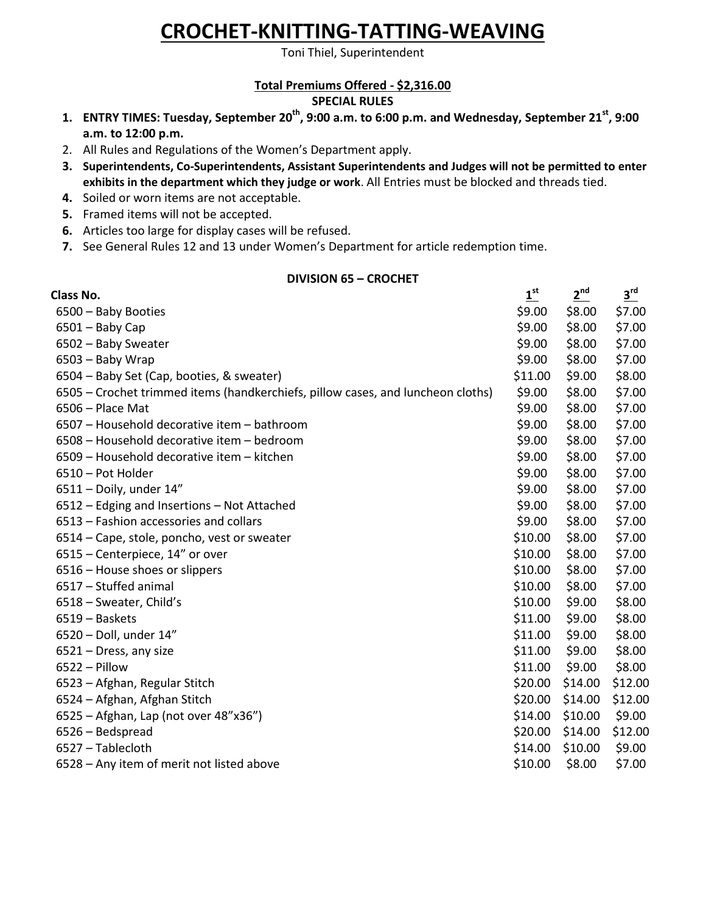# **CROCHET-KNITTING-TATTING-WEAVING**

Toni Thiel, Superintendent

#### **Total Premiums Offered - \$2,316.00 SPECIAL RULES**

- **1. ENTRY TIMES: Tuesday, September 20th , 9:00 a.m. to 6:00 p.m. and Wednesday, September 21st , 9:00 a.m. to 12:00 p.m.**
- 2. All Rules and Regulations of the Women's Department apply.
- **3. Superintendents, Co-Superintendents, Assistant Superintendents and Judges will not be permitted to enter exhibits in the department which they judge or work**. All Entries must be blocked and threads tied.
- **4.** Soiled or worn items are not acceptable.
- **5.** Framed items will not be accepted.
- **6.** Articles too large for display cases will be refused.
- **7.** See General Rules 12 and 13 under Women's Department for article redemption time.

#### **DIVISION 65 – CROCHET**

| Class No.                                                                       | 1 <sup>st</sup> | $2^{nd}$ | $3^{rd}$ |
|---------------------------------------------------------------------------------|-----------------|----------|----------|
| 6500 - Baby Booties                                                             | \$9.00          | \$8.00   | \$7.00   |
| $6501 -$ Baby Cap                                                               | \$9.00          | \$8.00   | \$7.00   |
| 6502 - Baby Sweater                                                             | \$9.00          | \$8.00   | \$7.00   |
| 6503 - Baby Wrap                                                                | \$9.00          | \$8.00   | \$7.00   |
| 6504 – Baby Set (Cap, booties, & sweater)                                       | \$11.00         | \$9.00   | \$8.00   |
| 6505 – Crochet trimmed items (handkerchiefs, pillow cases, and luncheon cloths) | \$9.00          | \$8.00   | \$7.00   |
| $6506$ – Place Mat                                                              | \$9.00          | \$8.00   | \$7.00   |
| 6507 - Household decorative item - bathroom                                     | \$9.00          | \$8.00   | \$7.00   |
| 6508 - Household decorative item - bedroom                                      | \$9.00          | \$8.00   | \$7.00   |
| 6509 - Household decorative item - kitchen                                      | \$9.00          | \$8.00   | \$7.00   |
| 6510 - Pot Holder                                                               | \$9.00          | \$8.00   | \$7.00   |
| $6511 -$ Doily, under $14"$                                                     | \$9.00          | \$8.00   | \$7.00   |
| 6512 – Edging and Insertions – Not Attached                                     | \$9.00          | \$8.00   | \$7.00   |
| 6513 - Fashion accessories and collars                                          | \$9.00          | \$8.00   | \$7.00   |
| 6514 – Cape, stole, poncho, vest or sweater                                     | \$10.00         | \$8.00   | \$7.00   |
| 6515 - Centerpiece, 14" or over                                                 | \$10.00         | \$8.00   | \$7.00   |
| 6516 – House shoes or slippers                                                  | \$10.00         | \$8.00   | \$7.00   |
| 6517 - Stuffed animal                                                           | \$10.00         | \$8.00   | \$7.00   |
| 6518 - Sweater, Child's                                                         | \$10.00         | \$9.00   | \$8.00   |
| 6519 – Baskets                                                                  | \$11.00         | \$9.00   | \$8.00   |
| 6520 - Doll, under 14"                                                          | \$11.00         | \$9.00   | \$8.00   |
| 6521 - Dress, any size                                                          | \$11.00         | \$9.00   | \$8.00   |
| $6522 -$ Pillow                                                                 | \$11.00         | \$9.00   | \$8.00   |
| 6523 - Afghan, Regular Stitch                                                   | \$20.00         | \$14.00  | \$12.00  |
| 6524 – Afghan, Afghan Stitch                                                    | \$20.00         | \$14.00  | \$12.00  |
| 6525 - Afghan, Lap (not over 48"x36")                                           | \$14.00         | \$10.00  | \$9.00   |
| 6526 - Bedspread                                                                | \$20.00         | \$14.00  | \$12.00  |
| 6527 - Tablecloth                                                               | \$14.00         | \$10.00  | \$9.00   |
| 6528 - Any item of merit not listed above                                       | \$10.00         | \$8.00   | \$7.00   |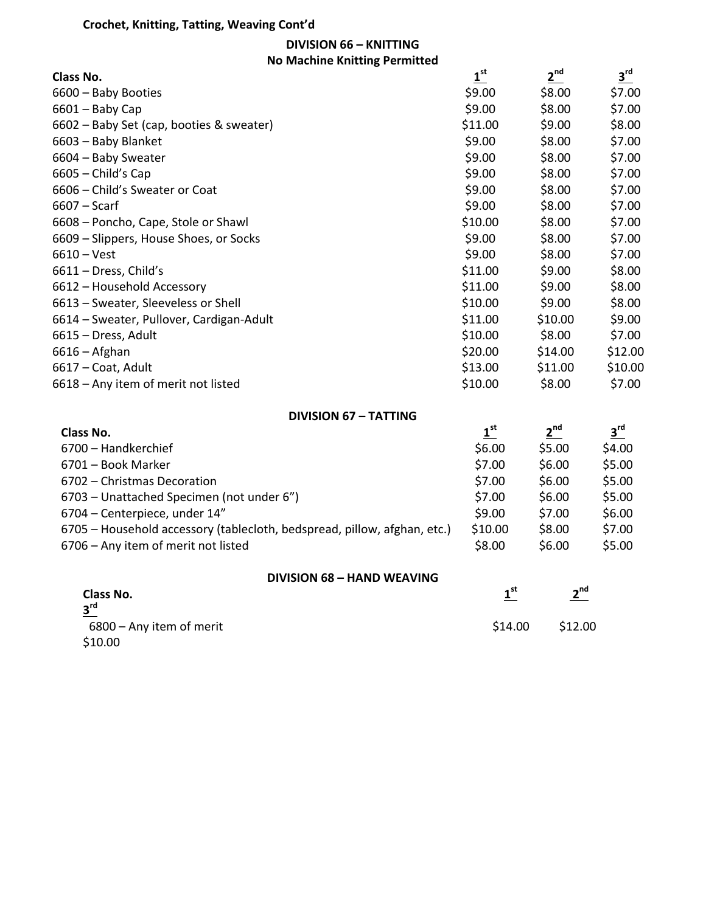### **Crochet, Knitting, Tatting, Weaving Cont'd**

**DIVISION 66 – KNITTING**

| <b>DIVISION 66 - KNITTING</b>            |                                      |                    |                    |
|------------------------------------------|--------------------------------------|--------------------|--------------------|
| <b>No Machine Knitting Permitted</b>     |                                      |                    |                    |
| Class No.                                | $1^{\text{st}}$                      | $2^{nd}$           | $\frac{3^{rd}}{2}$ |
| 6600 - Baby Booties                      | \$9.00                               | \$8.00             | \$7.00             |
| $6601 -$ Baby Cap                        | \$9.00                               | \$8.00             | \$7.00             |
| 6602 - Baby Set (cap, booties & sweater) | \$11.00                              | \$9.00             | \$8.00             |
| 6603 - Baby Blanket                      | \$9.00                               | \$8.00             | \$7.00             |
| 6604 - Baby Sweater                      | \$9.00                               | \$8.00             | \$7.00             |
| $6605$ – Child's Cap                     | \$9.00                               | \$8.00             | \$7.00             |
| 6606 - Child's Sweater or Coat           | \$9.00                               | \$8.00             | \$7.00             |
| $6607 -$ Scarf                           | \$9.00                               | \$8.00             | \$7.00             |
| 6608 - Poncho, Cape, Stole or Shawl      | \$10.00                              | \$8.00             | \$7.00             |
| 6609 - Slippers, House Shoes, or Socks   | \$9.00                               | \$8.00             | \$7.00             |
| $6610 - Vest$                            | \$9.00                               | \$8.00             | \$7.00             |
| 6611 - Dress, Child's                    | \$11.00                              | \$9.00             | \$8.00             |
| 6612 - Household Accessory               | \$11.00                              | \$9.00             | \$8.00             |
| 6613 - Sweater, Sleeveless or Shell      | \$10.00                              | \$9.00             | \$8.00             |
| 6614 - Sweater, Pullover, Cardigan-Adult | \$11.00                              | \$10.00            | \$9.00             |
| 6615 - Dress, Adult                      | \$10.00                              | \$8.00             | \$7.00             |
| $6616 -$ Afghan                          | \$20.00                              | \$14.00            | \$12.00            |
| 6617 - Coat, Adult                       | \$13.00                              | \$11.00            | \$10.00            |
| 6618 - Any item of merit not listed      | \$10.00                              | \$8.00             | \$7.00             |
| <b>DIVISION 67 - TATTING</b>             |                                      |                    |                    |
| <b>Class No.</b>                         | $\mathbf{\underline{1}^{\text{st}}}$ | 2 <sup>nd</sup>    | $\frac{3^{rd}}{ }$ |
| 6700 - Handkerchief                      | \$6.00                               | \$5.00             | \$4.00             |
|                                          | $+ - - -$                            | $A \cap \cap \cap$ | $-0.0$             |

| 6701 - Book Marker                                                       | \$7.00  | \$6.00 | \$5.00 |
|--------------------------------------------------------------------------|---------|--------|--------|
| 6702 - Christmas Decoration                                              | \$7.00  | \$6.00 | \$5.00 |
| 6703 – Unattached Specimen (not under 6")                                | \$7.00  | \$6.00 | \$5.00 |
| 6704 – Centerpiece, under 14"                                            | \$9.00  | \$7.00 | \$6.00 |
| 6705 – Household accessory (tablecloth, bedspread, pillow, afghan, etc.) | \$10.00 | \$8.00 | \$7.00 |
| 6706 - Any item of merit not listed                                      | \$8.00  | \$6.00 | \$5.00 |

| Class No.<br>$3^{\text{rd}}$ | st -    | ∽nd<br>$\overline{\phantom{a}}$ |  |
|------------------------------|---------|---------------------------------|--|
| 6800 - Any item of merit     | \$14.00 | \$12.00                         |  |
| <b>C10.00</b>                |         |                                 |  |

\$10.00